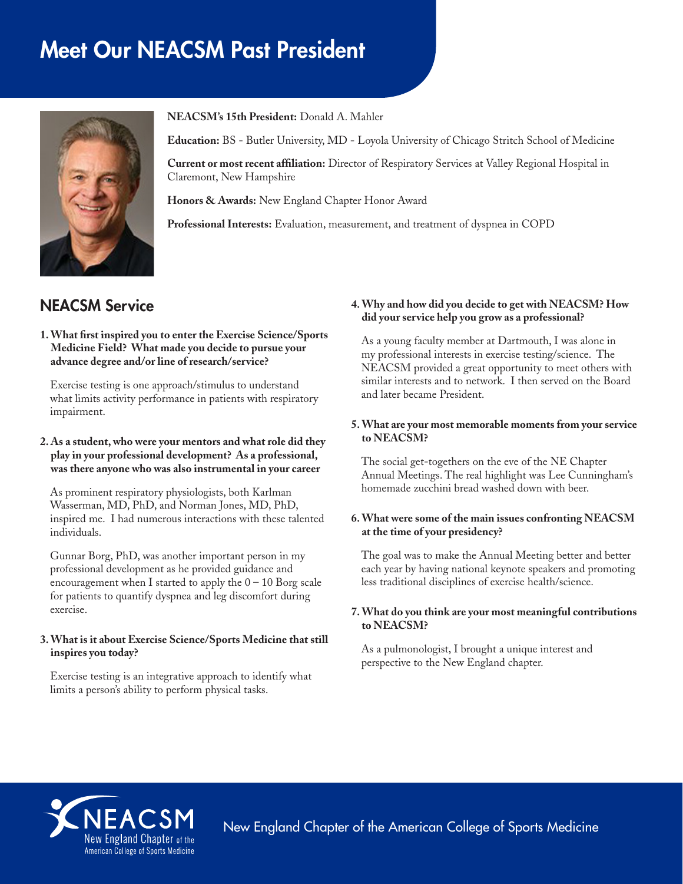# Meet Our NEACSM Past President



**NEACSM's 15th President:** Donald A. Mahler

**Education:** BS - Butler University, MD - Loyola University of Chicago Stritch School of Medicine

**Current or most recent affiliation:** Director of Respiratory Services at Valley Regional Hospital in Claremont, New Hampshire

**Honors & Awards:** New England Chapter Honor Award

**Professional Interests:** Evaluation, measurement, and treatment of dyspnea in COPD

# NEACSM Service

#### **1. What first inspired you to enter the Exercise Science/Sports Medicine Field? What made you decide to pursue your advance degree and/or line of research/service?**

Exercise testing is one approach/stimulus to understand what limits activity performance in patients with respiratory impairment.

## **2. As a student, who were your mentors and what role did they play in your professional development? As a professional, was there anyone who was also instrumental in your career**

As prominent respiratory physiologists, both Karlman Wasserman, MD, PhD, and Norman Jones, MD, PhD, inspired me. I had numerous interactions with these talented individuals.

Gunnar Borg, PhD, was another important person in my professional development as he provided guidance and encouragement when I started to apply the  $0 - 10$  Borg scale for patients to quantify dyspnea and leg discomfort during exercise.

## **3. What is it about Exercise Science/Sports Medicine that still inspires you today?**

Exercise testing is an integrative approach to identify what limits a person's ability to perform physical tasks.

#### **4. Why and how did you decide to get with NEACSM? How did your service help you grow as a professional?**

As a young faculty member at Dartmouth, I was alone in my professional interests in exercise testing/science. The NEACSM provided a great opportunity to meet others with similar interests and to network. I then served on the Board and later became President.

#### **5. What are your most memorable moments from your service to NEACSM?**

The social get-togethers on the eve of the NE Chapter Annual Meetings. The real highlight was Lee Cunningham's homemade zucchini bread washed down with beer.

## **6. What were some of the main issues confronting NEACSM at the time of your presidency?**

The goal was to make the Annual Meeting better and better each year by having national keynote speakers and promoting less traditional disciplines of exercise health/science.

#### **7. What do you think are your most meaningful contributions to NEACSM?**

As a pulmonologist, I brought a unique interest and perspective to the New England chapter.



New England Chapter of the American College of Sports Medicine